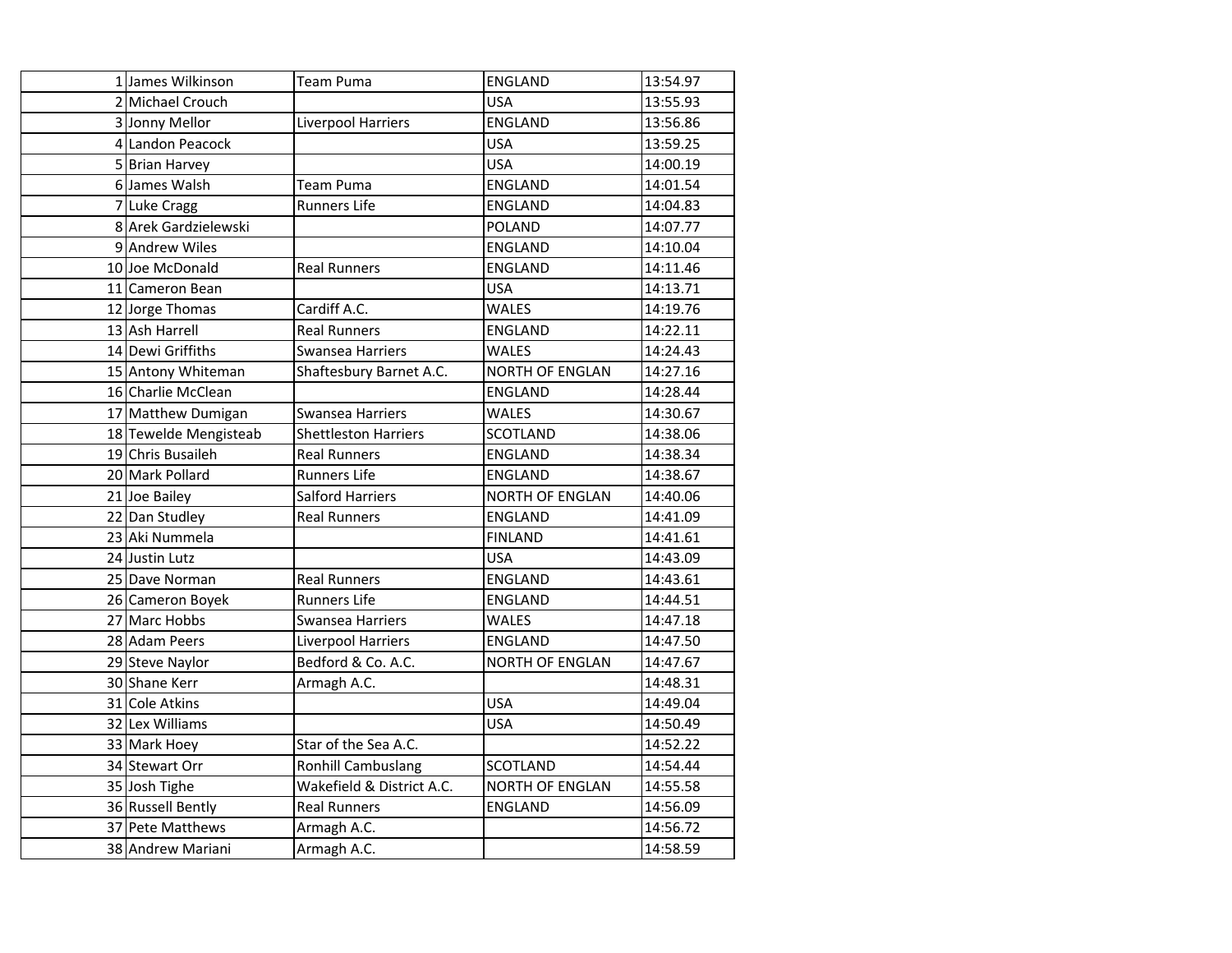| 1 James Wilkinson     | <b>Team Puma</b>            | ENGLAND                | 13:54.97 |
|-----------------------|-----------------------------|------------------------|----------|
| 2 Michael Crouch      |                             | <b>USA</b>             | 13:55.93 |
| 3 Jonny Mellor        | Liverpool Harriers          | ENGLAND                | 13:56.86 |
| 4 Landon Peacock      |                             | <b>USA</b>             | 13:59.25 |
| 5 Brian Harvey        |                             | <b>USA</b>             | 14:00.19 |
| 6 James Walsh         | <b>Team Puma</b>            | <b>ENGLAND</b>         | 14:01.54 |
| 7 Luke Cragg          | <b>Runners Life</b>         | <b>ENGLAND</b>         | 14:04.83 |
| 8 Arek Gardzielewski  |                             | <b>POLAND</b>          | 14:07.77 |
| 9 Andrew Wiles        |                             | <b>ENGLAND</b>         | 14:10.04 |
| 10 Joe McDonald       | <b>Real Runners</b>         | <b>ENGLAND</b>         | 14:11.46 |
| 11 Cameron Bean       |                             | <b>USA</b>             | 14:13.71 |
| 12 Jorge Thomas       | Cardiff A.C.                | <b>WALES</b>           | 14:19.76 |
| 13 Ash Harrell        | <b>Real Runners</b>         | ENGLAND                | 14:22.11 |
| 14 Dewi Griffiths     | Swansea Harriers            | <b>WALES</b>           | 14:24.43 |
| 15 Antony Whiteman    | Shaftesbury Barnet A.C.     | <b>NORTH OF ENGLAN</b> | 14:27.16 |
| 16 Charlie McClean    |                             | ENGLAND                | 14:28.44 |
| 17 Matthew Dumigan    | Swansea Harriers            | <b>WALES</b>           | 14:30.67 |
| 18 Tewelde Mengisteab | <b>Shettleston Harriers</b> | <b>SCOTLAND</b>        | 14:38.06 |
| 19 Chris Busaileh     | <b>Real Runners</b>         | ENGLAND                | 14:38.34 |
| 20 Mark Pollard       | <b>Runners Life</b>         | ENGLAND                | 14:38.67 |
| 21 Joe Bailey         | <b>Salford Harriers</b>     | <b>NORTH OF ENGLAN</b> | 14:40.06 |
| 22 Dan Studley        | <b>Real Runners</b>         | <b>ENGLAND</b>         | 14:41.09 |
| 23 Aki Nummela        |                             | <b>FINLAND</b>         | 14:41.61 |
| 24 Justin Lutz        |                             | <b>USA</b>             | 14:43.09 |
| 25 Dave Norman        | <b>Real Runners</b>         | ENGLAND                | 14:43.61 |
| 26 Cameron Boyek      | <b>Runners Life</b>         | <b>ENGLAND</b>         | 14:44.51 |
| 27 Marc Hobbs         | Swansea Harriers            | <b>WALES</b>           | 14:47.18 |
| 28 Adam Peers         | Liverpool Harriers          | ENGLAND                | 14:47.50 |
| 29 Steve Naylor       | Bedford & Co. A.C.          | <b>NORTH OF ENGLAN</b> | 14:47.67 |
| 30 Shane Kerr         | Armagh A.C.                 |                        | 14:48.31 |
| 31 Cole Atkins        |                             | <b>USA</b>             | 14:49.04 |
| 32 Lex Williams       |                             | <b>USA</b>             | 14:50.49 |
| 33 Mark Hoey          | Star of the Sea A.C.        |                        | 14:52.22 |
| 34 Stewart Orr        | Ronhill Cambuslang          | <b>SCOTLAND</b>        | 14:54.44 |
| 35 Josh Tighe         | Wakefield & District A.C.   | <b>NORTH OF ENGLAN</b> | 14:55.58 |
| 36 Russell Bently     | <b>Real Runners</b>         | ENGLAND                | 14:56.09 |
| 37 Pete Matthews      | Armagh A.C.                 |                        | 14:56.72 |
| 38 Andrew Mariani     | Armagh A.C.                 |                        | 14:58.59 |